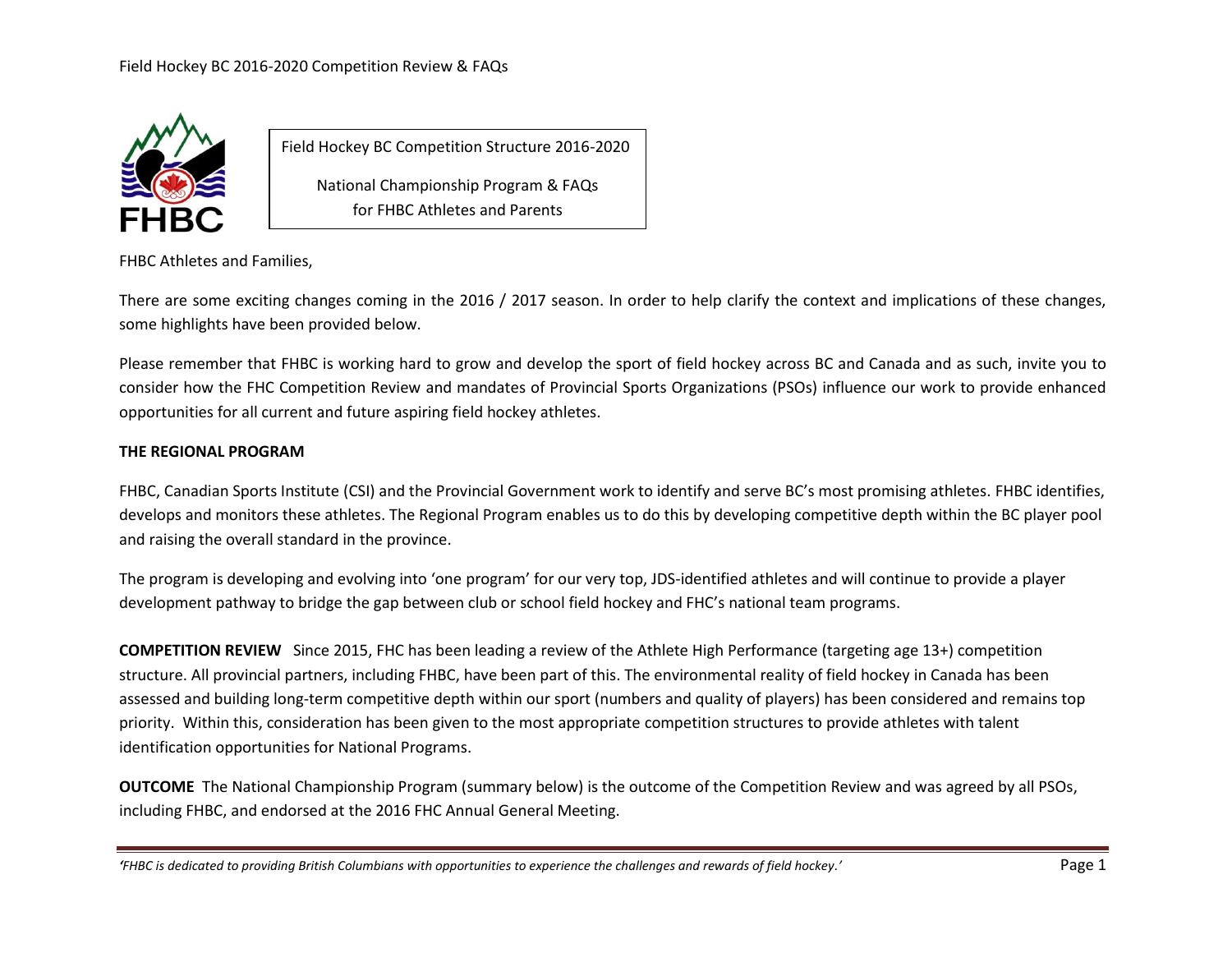

Field Hockey BC Competition Structure 2016-2020 National Championship Program & FAQs for FHBC Athletes and Parents

FHBC Athletes and Families,

There are some exciting changes coming in the 2016 / 2017 season. In order to help clarify the context and implications of these changes, some highlights have been provided below.

Please remember that FHBC is working hard to grow and develop the sport of field hockey across BC and Canada and as such, invite you to consider how the FHC Competition Review and mandates of Provincial Sports Organizations (PSOs) influence our work to provide enhanced opportunities for all current and future aspiring field hockey athletes.

## **THE REGIONAL PROGRAM**

FHBC, Canadian Sports Institute (CSI) and the Provincial Government work to identify and serve BC's most promising athletes. FHBC identifies, develops and monitors these athletes. The Regional Program enables us to do this by developing competitive depth within the BC player pool and raising the overall standard in the province.

The program is developing and evolving into 'one program' for our very top, JDS-identified athletes and will continue to provide a player development pathway to bridge the gap between club or school field hockey and FHC's national team programs.

**COMPETITION REVIEW** Since 2015, FHC has been leading a review of the Athlete High Performance (targeting age 13+) competition structure. All provincial partners, including FHBC, have been part of this. The environmental reality of field hockey in Canada has been assessed and building long-term competitive depth within our sport (numbers and quality of players) has been considered and remains top priority. Within this, consideration has been given to the most appropriate competition structures to provide athletes with talent identification opportunities for National Programs.

**OUTCOME** The National Championship Program (summary below) is the outcome of the Competition Review and was agreed by all PSOs, including FHBC, and endorsed at the 2016 FHC Annual General Meeting.

*'FHBC is dedicated to providing British Columbians with opportunities to experience the challenges and rewards of field hockey.'* Page 1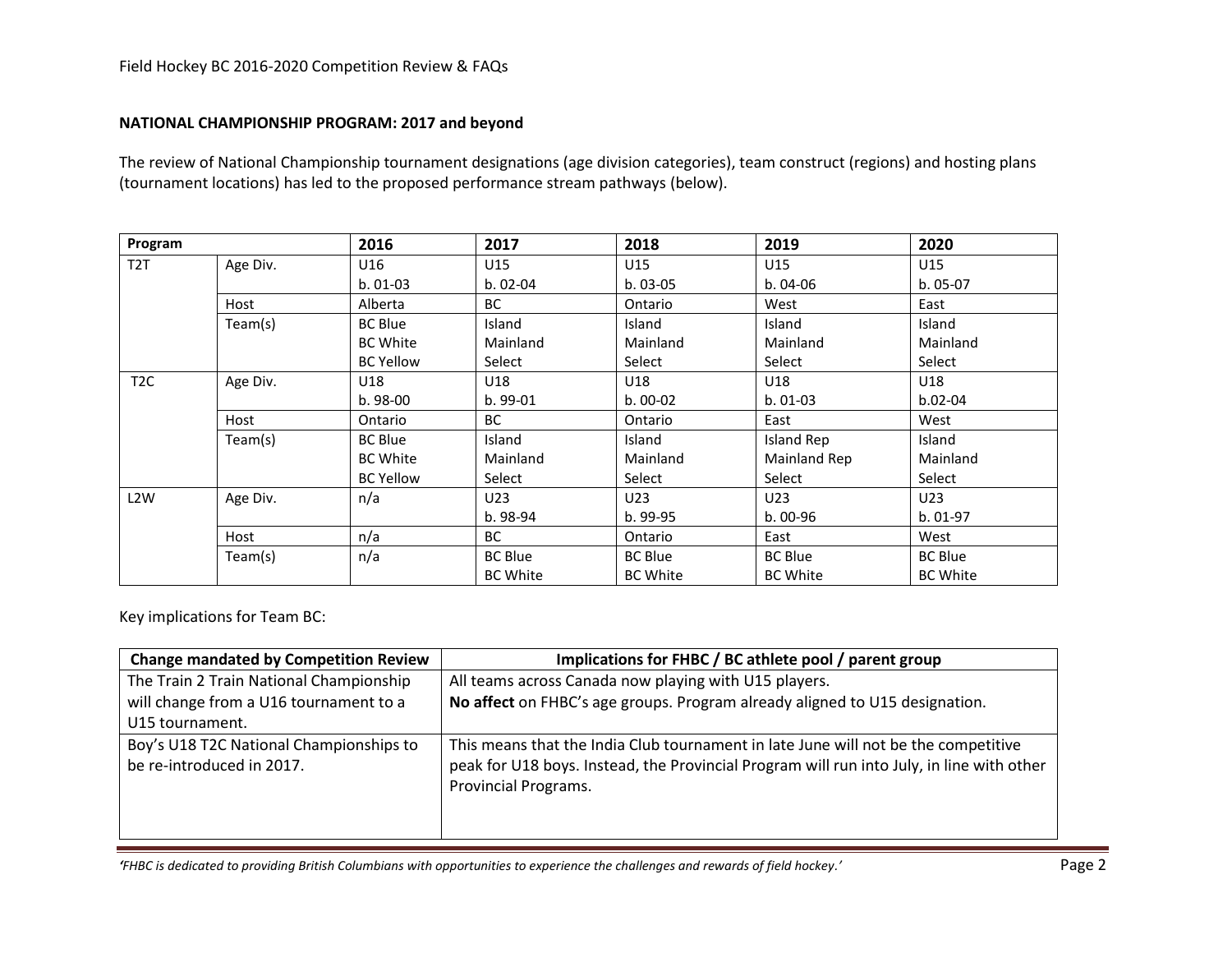### **NATIONAL CHAMPIONSHIP PROGRAM: 2017 and beyond**

The review of National Championship tournament designations (age division categories), team construct (regions) and hosting plans (tournament locations) has led to the proposed performance stream pathways (below).

| Program          |          | 2016             | 2017            | 2018            | 2019              | 2020            |
|------------------|----------|------------------|-----------------|-----------------|-------------------|-----------------|
| T <sub>2</sub> T | Age Div. | U16              | U15             | U15             | U15               | U15             |
|                  |          | $b.01-03$        | $b.02-04$       | $b.03-05$       | $b.04-06$         | $b.05-07$       |
|                  | Host     | Alberta          | <b>BC</b>       | Ontario         | West              | East            |
|                  | Team(s)  | <b>BC Blue</b>   | Island          | Island          | Island            | Island          |
|                  |          | <b>BC White</b>  | Mainland        | Mainland        | Mainland          | Mainland        |
|                  |          | <b>BC Yellow</b> | Select          | Select          | Select            | Select          |
| T <sub>2</sub> C | Age Div. | U18              | U18             | U18             | U18               | U18             |
|                  |          | $b.98-00$        | $b.99-01$       | $b.00-02$       | $b.01-03$         | $b.02-04$       |
|                  | Host     | Ontario          | <b>BC</b>       | Ontario         | East              | West            |
|                  | Team(s)  | <b>BC Blue</b>   | Island          | Island          | <b>Island Rep</b> | Island          |
|                  |          | <b>BC White</b>  | Mainland        | Mainland        | Mainland Rep      | Mainland        |
|                  |          | <b>BC Yellow</b> | Select          | Select          | Select            | Select          |
| L <sub>2</sub> W | Age Div. | n/a              | U23             | U23             | U23               | U23             |
|                  |          |                  | b. 98-94        | b. 99-95        | $b.00-96$         | $b.01-97$       |
|                  | Host     | n/a              | <b>BC</b>       | Ontario         | East              | West            |
|                  | Team(s)  | n/a              | <b>BC Blue</b>  | <b>BC Blue</b>  | <b>BC Blue</b>    | <b>BC Blue</b>  |
|                  |          |                  | <b>BC White</b> | <b>BC White</b> | <b>BC White</b>   | <b>BC White</b> |

Key implications for Team BC:

| <b>Change mandated by Competition Review</b> | Implications for FHBC / BC athlete pool / parent group                                    |  |  |
|----------------------------------------------|-------------------------------------------------------------------------------------------|--|--|
| The Train 2 Train National Championship      | All teams across Canada now playing with U15 players.                                     |  |  |
| will change from a U16 tournament to a       | No affect on FHBC's age groups. Program already aligned to U15 designation.               |  |  |
| U15 tournament.                              |                                                                                           |  |  |
| Boy's U18 T2C National Championships to      | This means that the India Club tournament in late June will not be the competitive        |  |  |
| be re-introduced in 2017.                    | peak for U18 boys. Instead, the Provincial Program will run into July, in line with other |  |  |
|                                              | Provincial Programs.                                                                      |  |  |
|                                              |                                                                                           |  |  |
|                                              |                                                                                           |  |  |

*'FHBC* is dedicated to providing British Columbians with opportunities to experience the challenges and rewards of field hockey.' Page 2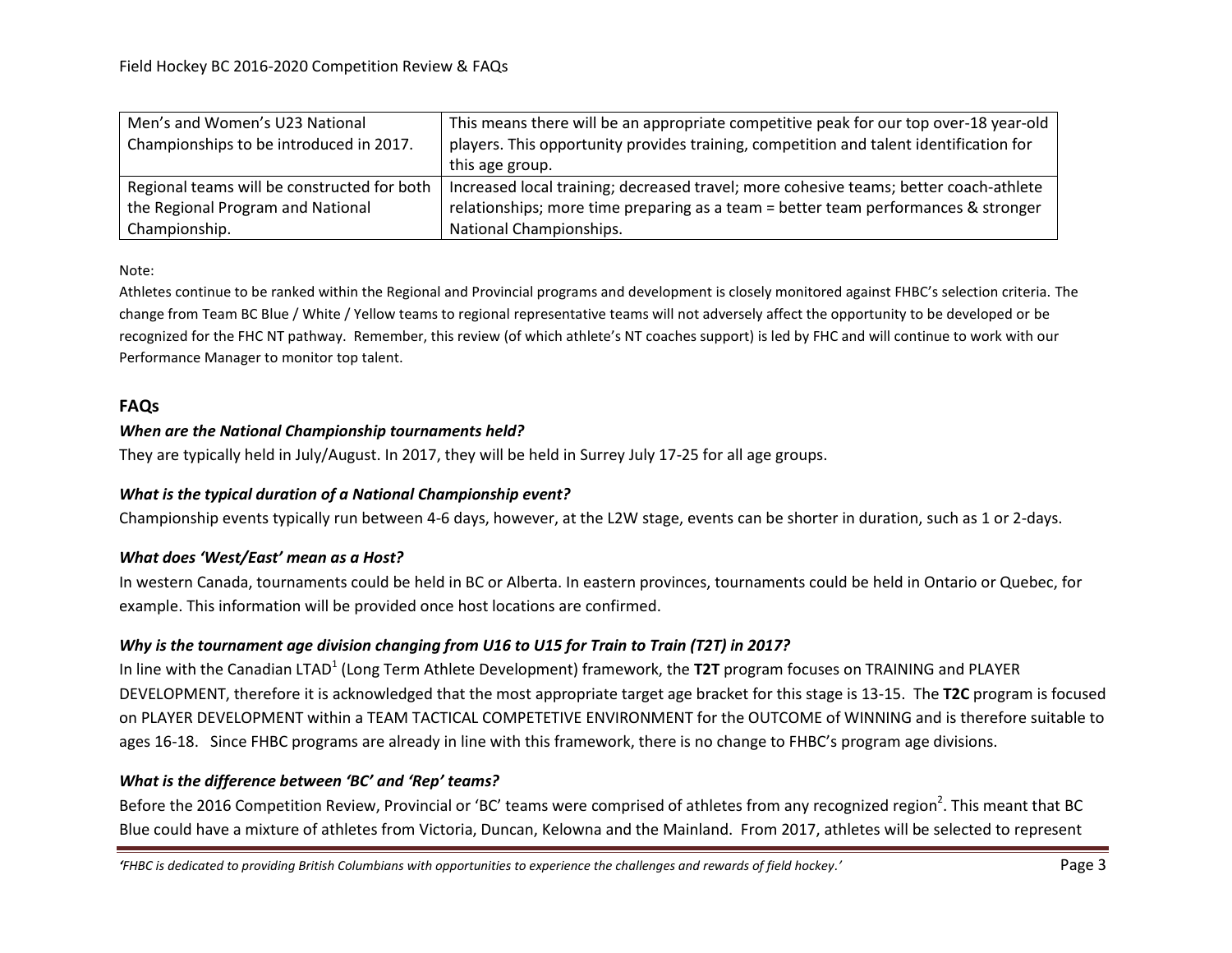| Men's and Women's U23 National              | This means there will be an appropriate competitive peak for our top over-18 year-old  |  |  |
|---------------------------------------------|----------------------------------------------------------------------------------------|--|--|
| Championships to be introduced in 2017.     | players. This opportunity provides training, competition and talent identification for |  |  |
|                                             | this age group.                                                                        |  |  |
| Regional teams will be constructed for both | Increased local training; decreased travel; more cohesive teams; better coach-athlete  |  |  |
| the Regional Program and National           | relationships; more time preparing as a team = better team performances & stronger     |  |  |
| Championship.                               | National Championships.                                                                |  |  |

Note:

Athletes continue to be ranked within the Regional and Provincial programs and development is closely monitored against FHBC's selection criteria. The change from Team BC Blue / White / Yellow teams to regional representative teams will not adversely affect the opportunity to be developed or be recognized for the FHC NT pathway. Remember, this review (of which athlete's NT coaches support) is led by FHC and will continue to work with our Performance Manager to monitor top talent.

# **FAQs**

## *When are the National Championship tournaments held?*

They are typically held in July/August. In 2017, they will be held in Surrey July 17-25 for all age groups.

## *What is the typical duration of a National Championship event?*

Championship events typically run between 4-6 days, however, at the L2W stage, events can be shorter in duration, such as 1 or 2-days.

## *What does 'West/East' mean as a Host?*

In western Canada, tournaments could be held in BC or Alberta. In eastern provinces, tournaments could be held in Ontario or Quebec, for example. This information will be provided once host locations are confirmed.

# *Why is the tournament age division changing from U16 to U15 for Train to Train (T2T) in 2017?*

In line with the Canadian LTAD<sup>1</sup> (Long Term Athlete Development) framework, the T2T program focuses on TRAINING and PLAYER DEVELOPMENT, therefore it is acknowledged that the most appropriate target age bracket for this stage is 13-15. The **T2C** program is focused on PLAYER DEVELOPMENT within a TEAM TACTICAL COMPETETIVE ENVIRONMENT for the OUTCOME of WINNING and is therefore suitable to ages 16-18. Since FHBC programs are already in line with this framework, there is no change to FHBC's program age divisions.

# *What is the difference between 'BC' and 'Rep' teams?*

Before the 2016 Competition Review, Provincial or 'BC' teams were comprised of athletes from any recognized region<sup>2</sup>. This meant that BC Blue could have a mixture of athletes from Victoria, Duncan, Kelowna and the Mainland. From 2017, athletes will be selected to represent